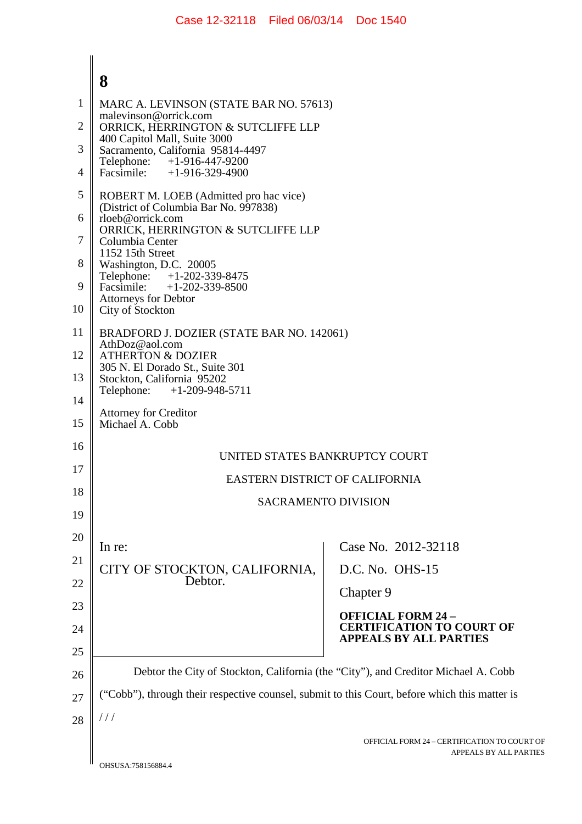|          | 8                                                                                                           |                                                                       |  |
|----------|-------------------------------------------------------------------------------------------------------------|-----------------------------------------------------------------------|--|
| 1        | MARC A. LEVINSON (STATE BAR NO. 57613)                                                                      |                                                                       |  |
| 2        | malevinson@orrick.com<br>ORRICK, HERRINGTON & SUTCLIFFE LLP                                                 |                                                                       |  |
| 3        | 400 Capitol Mall, Suite 3000<br>Sacramento, California 95814-4497                                           |                                                                       |  |
| 4        | Telephone: +1-916-447-9200<br>Facsimile:<br>$+1-916-329-4900$                                               |                                                                       |  |
| 5        | ROBERT M. LOEB (Admitted pro hac vice)                                                                      |                                                                       |  |
| 6        | (District of Columbia Bar No. 997838)<br>rloeb@orrick.com                                                   |                                                                       |  |
| 7        | ORRICK, HERRINGTON & SUTCLIFFE LLP<br>Columbia Center                                                       |                                                                       |  |
| 8        | 1152 15th Street<br>Washington, D.C. 20005                                                                  |                                                                       |  |
| 9        | Telephone: +1-202-339-8475<br>Facsimile: $+1-202-339-8500$                                                  |                                                                       |  |
| 10       | <b>Attorneys for Debtor</b><br>City of Stockton                                                             |                                                                       |  |
| 11       | BRADFORD J. DOZIER (STATE BAR NO. 142061)<br>AthDoz@aol.com                                                 |                                                                       |  |
| 12       | <b>ATHERTON &amp; DOZIER</b><br>305 N. El Dorado St., Suite 301                                             |                                                                       |  |
| 13       | Stockton, California 95202<br>Telephone: +1-209-948-5711<br><b>Attorney for Creditor</b><br>Michael A. Cobb |                                                                       |  |
| 14       |                                                                                                             |                                                                       |  |
| 15       |                                                                                                             |                                                                       |  |
| 16       | UNITED STATES BANKRUPTCY COURT                                                                              |                                                                       |  |
| 17       | <b>EASTERN DISTRICT OF CALIFORNIA</b>                                                                       |                                                                       |  |
| 18       | <b>SACRAMENTO DIVISION</b>                                                                                  |                                                                       |  |
| 19       |                                                                                                             |                                                                       |  |
| 20       | In re:                                                                                                      | Case No. 2012-32118                                                   |  |
| 21       | CITY OF STOCKTON, CALIFORNIA,<br>Debtor.                                                                    | D.C. No. OHS-15                                                       |  |
| 22       |                                                                                                             | Chapter 9                                                             |  |
| 23       |                                                                                                             | <b>OFFICIAL FORM 24-</b>                                              |  |
| 24       |                                                                                                             | <b>CERTIFICATION TO COURT OF</b><br><b>APPEALS BY ALL PARTIES</b>     |  |
| 25<br>26 | Debtor the City of Stockton, California (the "City"), and Creditor Michael A. Cobb                          |                                                                       |  |
| 27       | ("Cobb"), through their respective counsel, submit to this Court, before which this matter is               |                                                                       |  |
| 28       | $\frac{1}{2}$                                                                                               |                                                                       |  |
|          |                                                                                                             | OFFICIAL FORM 24 - CERTIFICATION TO COURT O<br>ΔΡΡΕΔΙ C RV ΔΙΙ ΡΔΡΤΙΕ |  |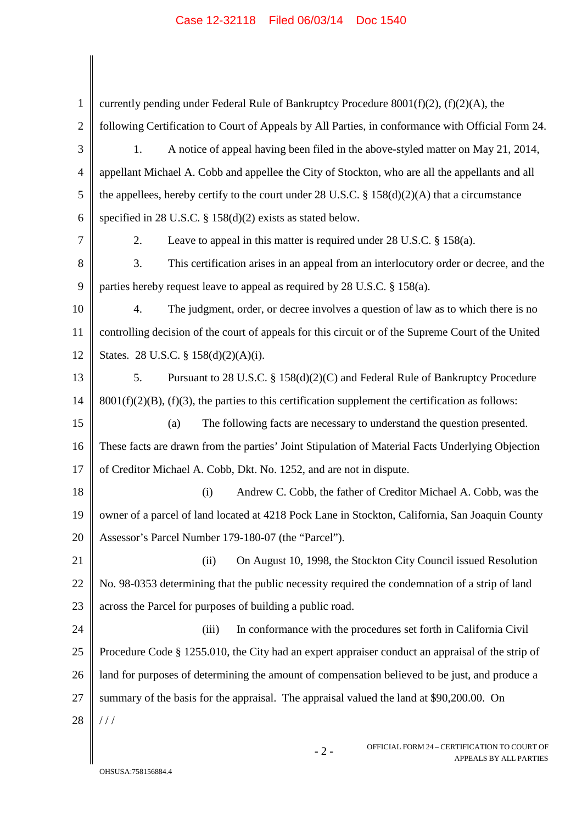1  $\overline{2}$ 3 4 5 6 7 8 9 10 11 12 13 14 15 16 17 18 19 20 21 22 23 24 25 26 27 28 currently pending under Federal Rule of Bankruptcy Procedure 8001(f)(2), (f)(2)(A), the following Certification to Court of Appeals by All Parties, in conformance with Official Form 24. 1. A notice of appeal having been filed in the above-styled matter on May 21, 2014, appellant Michael A. Cobb and appellee the City of Stockton, who are all the appellants and all the appellees, hereby certify to the court under 28 U.S.C. § 158(d)(2)(A) that a circumstance specified in 28 U.S.C. § 158(d)(2) exists as stated below. 2. Leave to appeal in this matter is required under 28 U.S.C. § 158(a). 3. This certification arises in an appeal from an interlocutory order or decree, and the parties hereby request leave to appeal as required by 28 U.S.C. § 158(a). 4. The judgment, order, or decree involves a question of law as to which there is no controlling decision of the court of appeals for this circuit or of the Supreme Court of the United States. 28 U.S.C. § 158(d)(2)(A)(i). 5. Pursuant to 28 U.S.C. § 158(d)(2)(C) and Federal Rule of Bankruptcy Procedure  $8001(f)(2)(B)$ ,  $(f)(3)$ , the parties to this certification supplement the certification as follows: (a) The following facts are necessary to understand the question presented. These facts are drawn from the parties' Joint Stipulation of Material Facts Underlying Objection of Creditor Michael A. Cobb, Dkt. No. 1252, and are not in dispute. (i) Andrew C. Cobb, the father of Creditor Michael A. Cobb, was the owner of a parcel of land located at 4218 Pock Lane in Stockton, California, San Joaquin County Assessor's Parcel Number 179-180-07 (the "Parcel"). (ii) On August 10, 1998, the Stockton City Council issued Resolution No. 98-0353 determining that the public necessity required the condemnation of a strip of land across the Parcel for purposes of building a public road. (iii) In conformance with the procedures set forth in California Civil Procedure Code § 1255.010, the City had an expert appraiser conduct an appraisal of the strip of land for purposes of determining the amount of compensation believed to be just, and produce a summary of the basis for the appraisal. The appraisal valued the land at \$90,200.00. On  $1/1$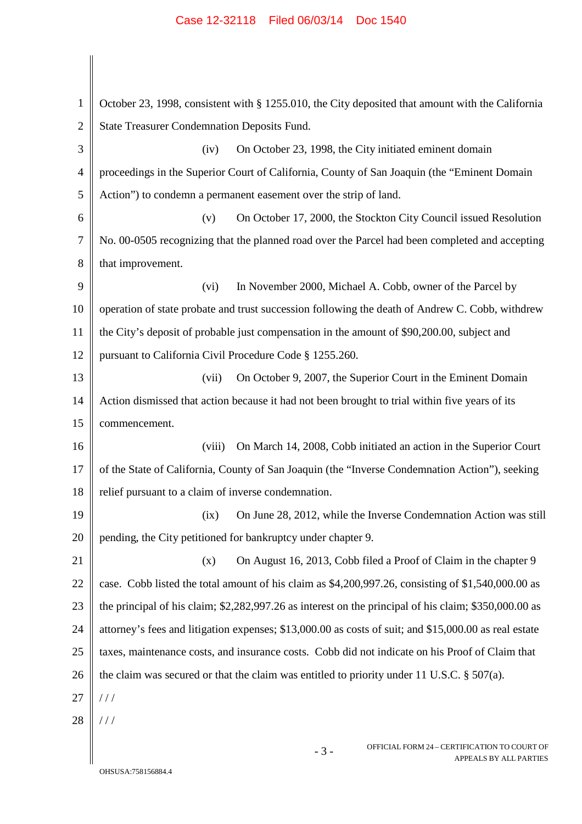## Case 12-32118 Filed 06/03/14 Doc 1540

| $\mathbf{1}$   | October 23, 1998, consistent with § 1255.010, the City deposited that amount with the California      |  |
|----------------|-------------------------------------------------------------------------------------------------------|--|
| $\overline{2}$ | <b>State Treasurer Condemnation Deposits Fund.</b>                                                    |  |
| 3              | On October 23, 1998, the City initiated eminent domain<br>(iv)                                        |  |
| $\overline{4}$ | proceedings in the Superior Court of California, County of San Joaquin (the "Eminent Domain           |  |
| 5              | Action") to condemn a permanent easement over the strip of land.                                      |  |
| 6              | On October 17, 2000, the Stockton City Council issued Resolution<br>(v)                               |  |
| 7              | No. 00-0505 recognizing that the planned road over the Parcel had been completed and accepting        |  |
| 8              | that improvement.                                                                                     |  |
| 9              | In November 2000, Michael A. Cobb, owner of the Parcel by<br>(vi)                                     |  |
| 10             | operation of state probate and trust succession following the death of Andrew C. Cobb, withdrew       |  |
| 11             | the City's deposit of probable just compensation in the amount of \$90,200.00, subject and            |  |
| 12             | pursuant to California Civil Procedure Code § 1255.260.                                               |  |
| 13             | On October 9, 2007, the Superior Court in the Eminent Domain<br>(vii)                                 |  |
| 14             | Action dismissed that action because it had not been brought to trial within five years of its        |  |
| 15             | commencement.                                                                                         |  |
| 16             | On March 14, 2008, Cobb initiated an action in the Superior Court<br>(viii)                           |  |
| 17             | of the State of California, County of San Joaquin (the "Inverse Condemnation Action"), seeking        |  |
| 18             | relief pursuant to a claim of inverse condemnation.                                                   |  |
| 19             | On June 28, 2012, while the Inverse Condemnation Action was still<br>(ix)                             |  |
| 20             | pending, the City petitioned for bankruptcy under chapter 9.                                          |  |
| 21             | On August 16, 2013, Cobb filed a Proof of Claim in the chapter 9<br>(x)                               |  |
| 22             | case. Cobb listed the total amount of his claim as \$4,200,997.26, consisting of \$1,540,000.00 as    |  |
| 23             | the principal of his claim; \$2,282,997.26 as interest on the principal of his claim; \$350,000.00 as |  |
| 24             | attorney's fees and litigation expenses; \$13,000.00 as costs of suit; and \$15,000.00 as real estate |  |
| 25             | taxes, maintenance costs, and insurance costs. Cobb did not indicate on his Proof of Claim that       |  |
| 26             | the claim was secured or that the claim was entitled to priority under 11 U.S.C. $\S$ 507(a).         |  |
| 27             | //                                                                                                    |  |
| 28             | //                                                                                                    |  |
|                | OFFICIAL FORM 24 – CERTIFICATION TO COURT OF<br>$-3-$<br>APPEALS BY ALL PARTIES                       |  |

 $\begin{array}{c} \hline \end{array}$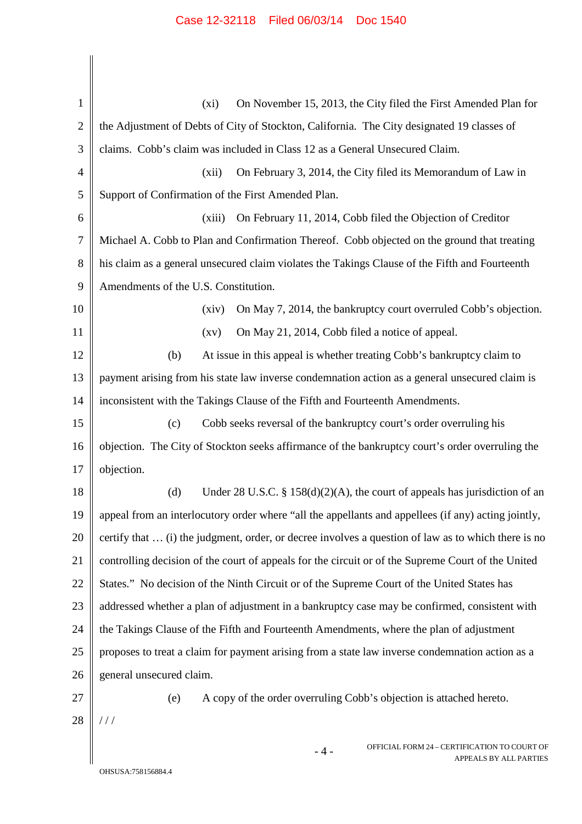| $\mathbf{1}$   | On November 15, 2013, the City filed the First Amended Plan for<br>$(x_i)$                          |  |
|----------------|-----------------------------------------------------------------------------------------------------|--|
| $\overline{2}$ | the Adjustment of Debts of City of Stockton, California. The City designated 19 classes of          |  |
| 3              | claims. Cobb's claim was included in Class 12 as a General Unsecured Claim.                         |  |
| $\overline{4}$ | On February 3, 2014, the City filed its Memorandum of Law in<br>(xii)                               |  |
| 5              | Support of Confirmation of the First Amended Plan.                                                  |  |
| 6              | On February 11, 2014, Cobb filed the Objection of Creditor<br>(xiii)                                |  |
| $\overline{7}$ | Michael A. Cobb to Plan and Confirmation Thereof. Cobb objected on the ground that treating         |  |
| 8              | his claim as a general unsecured claim violates the Takings Clause of the Fifth and Fourteenth      |  |
| 9              | Amendments of the U.S. Constitution.                                                                |  |
| 10             | On May 7, 2014, the bankruptcy court overruled Cobb's objection.<br>(xiv)                           |  |
| 11             | On May 21, 2014, Cobb filed a notice of appeal.<br>$\left( xy\right)$                               |  |
| 12             | At issue in this appeal is whether treating Cobb's bankruptcy claim to<br>(b)                       |  |
| 13             | payment arising from his state law inverse condemnation action as a general unsecured claim is      |  |
| 14             | inconsistent with the Takings Clause of the Fifth and Fourteenth Amendments.                        |  |
| 15             | Cobb seeks reversal of the bankruptcy court's order overruling his<br>(c)                           |  |
| 16             | objection. The City of Stockton seeks affirmance of the bankruptcy court's order overruling the     |  |
| 17             | objection.                                                                                          |  |
| 18             | (d) Under 28 U.S.C. § $158(d)(2)(A)$ , the court of appeals has jurisdiction of an                  |  |
| 19             | appeal from an interlocutory order where "all the appellants and appellees (if any) acting jointly, |  |
| 20             | certify that  (i) the judgment, order, or decree involves a question of law as to which there is no |  |
| 21             | controlling decision of the court of appeals for the circuit or of the Supreme Court of the United  |  |
| 22             | States." No decision of the Ninth Circuit or of the Supreme Court of the United States has          |  |
| 23             | addressed whether a plan of adjustment in a bankruptcy case may be confirmed, consistent with       |  |
| 24             | the Takings Clause of the Fifth and Fourteenth Amendments, where the plan of adjustment             |  |
| 25             | proposes to treat a claim for payment arising from a state law inverse condemnation action as a     |  |
| 26             | general unsecured claim.                                                                            |  |
| 27             | (e)<br>A copy of the order overruling Cobb's objection is attached hereto.                          |  |
| 28             | 111                                                                                                 |  |
|                | OFFICIAL FORM 24 - CERTIFICATION TO COURT OF<br>$-4-$<br>APPEALS BY ALL PARTIES                     |  |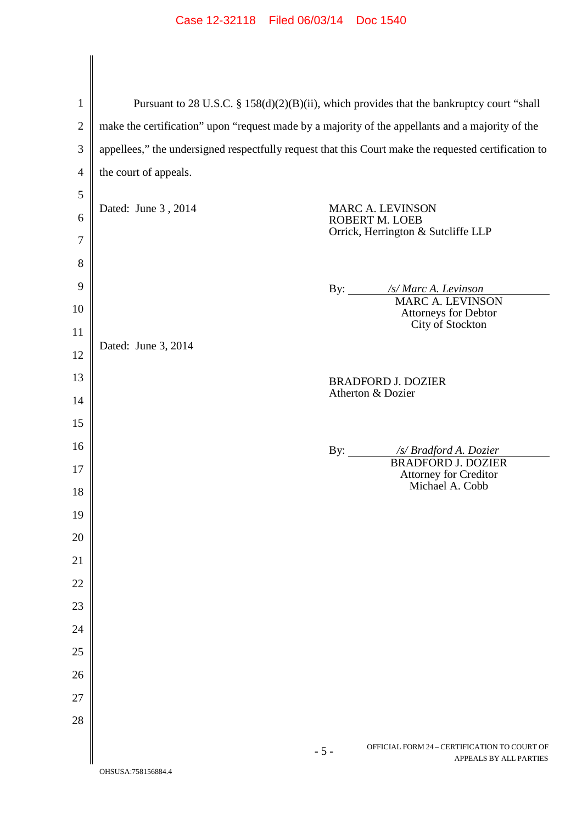## Case 12-32118 Filed 06/03/14 Doc 1540

| $\mathbf{1}$   | Pursuant to 28 U.S.C. § 158(d)(2)(B)(ii), which provides that the bankruptcy court "shall            |  |
|----------------|------------------------------------------------------------------------------------------------------|--|
| $\overline{2}$ | make the certification" upon "request made by a majority of the appellants and a majority of the     |  |
| 3              | appellees," the undersigned respectfully request that this Court make the requested certification to |  |
| $\overline{4}$ | the court of appeals.                                                                                |  |
| 5              |                                                                                                      |  |
| 6              | Dated: June 3, 2014<br><b>MARC A. LEVINSON</b><br><b>ROBERT M. LOEB</b>                              |  |
| $\overline{7}$ | Orrick, Herrington & Sutcliffe LLP                                                                   |  |
| 8              |                                                                                                      |  |
| 9              | By: /s/ Marc A. Levinson                                                                             |  |
| 10             | <b>MARC A. LEVINSON</b><br>Attorneys for Debtor                                                      |  |
| 11             | City of Stockton<br>Dated: June 3, 2014                                                              |  |
| 12             |                                                                                                      |  |
| 13             | <b>BRADFORD J. DOZIER</b><br>Atherton & Dozier                                                       |  |
| 14             |                                                                                                      |  |
| 15             |                                                                                                      |  |
| 16             | By: /s/ Bradford A. Dozier<br><b>BRADFORD J. DOZIER</b>                                              |  |
| 17             | <b>Attorney for Creditor</b><br>Michael A. Cobb                                                      |  |
| $18\,$         |                                                                                                      |  |
| 19             |                                                                                                      |  |
| 20             |                                                                                                      |  |
| 21             |                                                                                                      |  |
| 22             |                                                                                                      |  |
| 23             |                                                                                                      |  |
| 24             |                                                                                                      |  |
| 25             |                                                                                                      |  |
| 26             |                                                                                                      |  |
| 27<br>28       |                                                                                                      |  |
|                |                                                                                                      |  |
|                | OFFICIAL FORM 24 - CERTIFICATION TO COURT OF<br>$-5-$<br>APPEALS BY ALL PARTIES                      |  |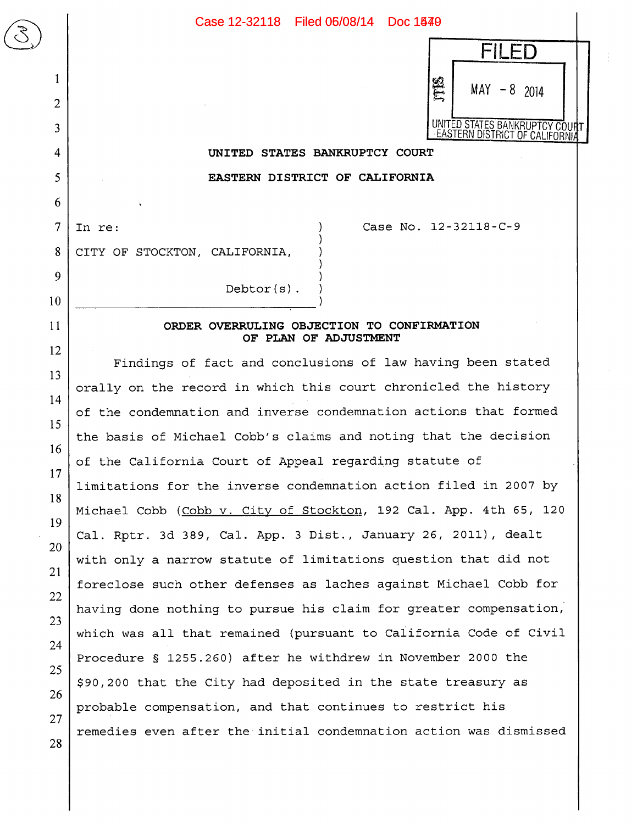

## **UNITED STATES BANKRUPTCY COURT**

**EASTERN DISTRICT OF CALIFORNIA** 

7

 $\begin{array}{|c|c|} \hline \text{C} & \text{D} & \text{E} \\ \hline \text{C} & \text{E} & \text{E} & \text{E} \\ \hline \text{C} & \text{E} & \text{E} & \text{E} & \text{E} \\ \hline \text{C} & \text{E} & \text{E} & \text{E} & \text{E} \\ \hline \text{C} & \text{E} & \text{E} & \text{E} & \text{E} \\ \hline \text{C} & \text{E} & \text{E} & \text{E} & \text{E} \\ \hline \text{C} & \text{E} & \text{E} & \text{E} & \text$ 

1

2

3

4

5

6

8

9

10

11

12

13

14

15

16

17

18

19

20

21

22

23

24

25

26

27

28

In re: (a) Case No. 12-32118-C-9

CITY OF STOCKTON, CALIFORNIA,

**ORDER OVERRULING OBJECTION TO CONFIRMATION**  OF PLAN OF ADJUSTMENT

Debtor(s)

Findings of fact and conclusions of law having been stated orally on the record in which this court chronicled the history of the condemnation and inverse condemnation actions that formed the basis of Michael Cobb's claims and noting that the decision of the California Court of Appeal regarding statute of limitations for the inverse condemnation action filed in 2007 by Michael Cobb (Cobb v. City of Stockton, 192 Cal. App. 4th 65, 120 Cal. Rptr. 3d 389, Cal. App. 3 Dist., January 26, 2011), dealt with only a narrow statute of limitations question that did not foreclose such other defenses as laches against Michael Cobb for having done nothing to pursue his claim for greater compensation; which was all that remained (pursuant to California Code of Civil Procedure § 1255.260) after he withdrew in November 2000 the \$90,200 that the City had deposited in the state treasury as probable compensation, and that continues to restrict his remedies even after the initial condemnation action was dismissed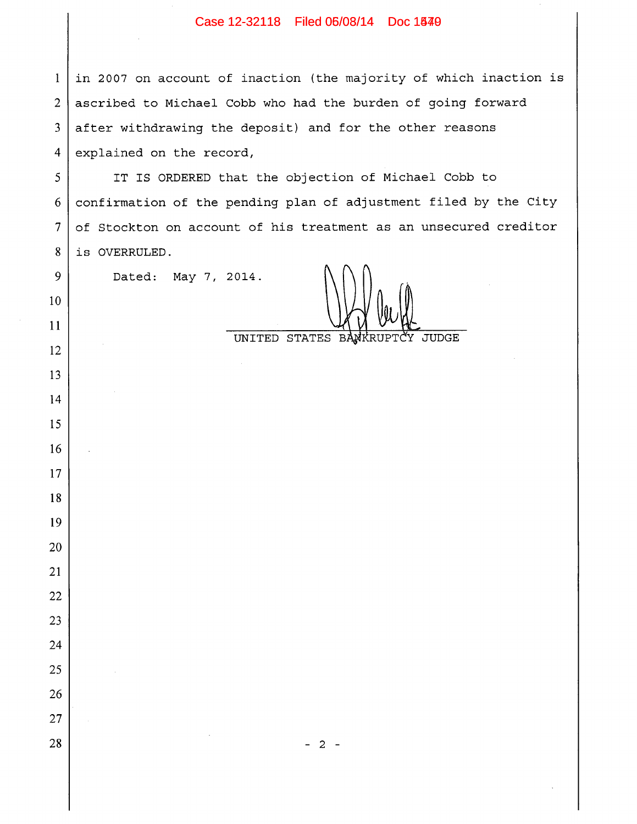## Case 12-32118 Filed 06/08/14 Doc 1540

 in 2007 on account of inaction (the majority of which inaction is ascribed to Michael Cobb who had the burden of going forward after withdrawing the deposit) and for the other reasons explained on the record,

 IT IS ORDERED that the objection of Michael Cobb to confirmation of the pending plan of adjustment filed by the City of Stockton on account of his treatment as an unsecured creditor is OVERRULED.

Dated: May 7, 2014.

t

UNITED STATES BANKRUPTCY JUDGE